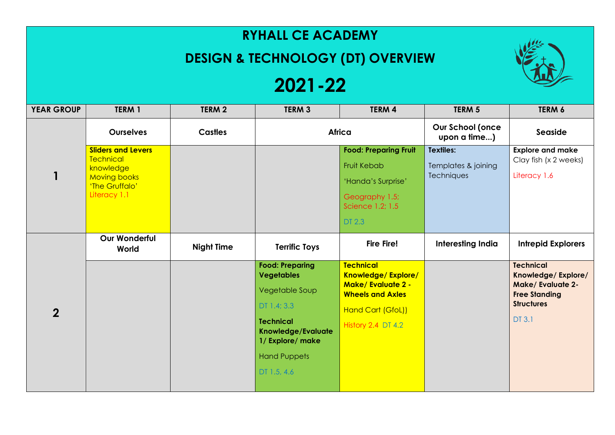## **RYHALL CE ACADEMY**

## **DESIGN & TECHNOLOGY (DT) OVERVIEW**

## **2021-22**

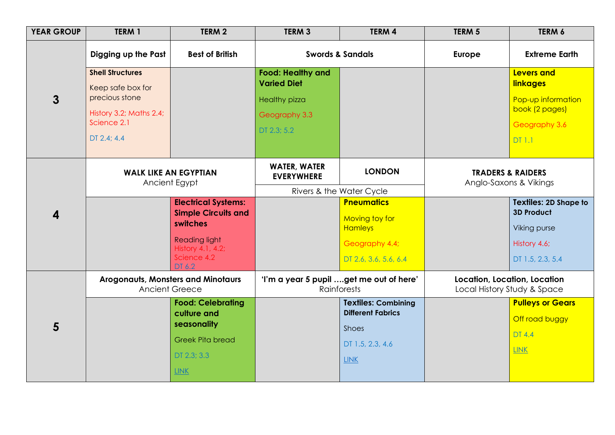| <b>YEAR GROUP</b> | TERM 1                                                                                                                  | TERM <sub>2</sub>                                                                                                 | TERM <sub>3</sub>                                                                                        | <b>TERM 4</b>                                                           | TERM <sub>5</sub>                                           | TERM 6                                                                                                         |
|-------------------|-------------------------------------------------------------------------------------------------------------------------|-------------------------------------------------------------------------------------------------------------------|----------------------------------------------------------------------------------------------------------|-------------------------------------------------------------------------|-------------------------------------------------------------|----------------------------------------------------------------------------------------------------------------|
| $\overline{3}$    | Digging up the Past<br><b>Best of British</b>                                                                           |                                                                                                                   | <b>Swords &amp; Sandals</b>                                                                              |                                                                         | <b>Europe</b>                                               | <b>Extreme Earth</b>                                                                                           |
|                   | <b>Shell Structures</b><br>Keep safe box for<br>precious stone<br>History 3.2; Maths 2.4;<br>Science 2.1<br>DT 2.4; 4.4 |                                                                                                                   | <b>Food: Healthy and</b><br><b>Varied Diet</b><br><b>Healthy pizza</b><br>Geography 3.3<br>$DT$ 2.3; 5.2 |                                                                         |                                                             | <b>Levers and</b><br><b>linkages</b><br>Pop-up information<br>book (2 pages)<br>Geography 3.6<br><b>DT 1.1</b> |
|                   | <b>WALK LIKE AN EGYPTIAN</b><br>Ancient Egypt                                                                           |                                                                                                                   | <b>WATER, WATER</b><br><b>EVERYWHERE</b>                                                                 | <b>LONDON</b>                                                           | <b>TRADERS &amp; RAIDERS</b><br>Anglo-Saxons & Vikings      |                                                                                                                |
|                   |                                                                                                                         |                                                                                                                   | Rivers & the Water Cycle                                                                                 |                                                                         |                                                             |                                                                                                                |
| 4                 |                                                                                                                         | <b>Electrical Systems:</b><br><b>Simple Circuits and</b><br>switches<br><b>Reading light</b><br>History 4.1, 4.2; |                                                                                                          | <b>Pneumatics</b><br>Moving toy for<br><b>Hamleys</b><br>Geography 4.4; |                                                             | <b>Textiles: 2D Shape to</b><br><b>3D Product</b><br>Viking purse<br>History 4.6;                              |
|                   |                                                                                                                         | Science 4.2<br>DT 6.2                                                                                             |                                                                                                          | DT 2.6, 3.6, 5.6, 6.4                                                   |                                                             | DT 1.5, 2.3, 5.4                                                                                               |
| 5                 | <b>Arogonauts, Monsters and Minotaurs</b><br><b>Ancient Greece</b>                                                      |                                                                                                                   | 'I'm a year 5 pupil get me out of here'<br><b>Rainforests</b>                                            |                                                                         | Location, Location, Location<br>Local History Study & Space |                                                                                                                |
|                   |                                                                                                                         | <b>Food: Celebrating</b><br>culture and<br>seasonality                                                            |                                                                                                          | <b>Textiles: Combining</b><br><b>Different Fabrics</b><br>Shoes         |                                                             | <b>Pulleys or Gears</b><br>Off road buggy<br><b>DT 4.4</b>                                                     |
|                   |                                                                                                                         | <b>Greek Pita bread</b><br>DT 2.3; 3.3                                                                            |                                                                                                          | DT 1.5, 2.3, 4.6                                                        |                                                             | <b>LINK</b>                                                                                                    |
|                   |                                                                                                                         | <b>LINK</b>                                                                                                       |                                                                                                          | <b>LINK</b>                                                             |                                                             |                                                                                                                |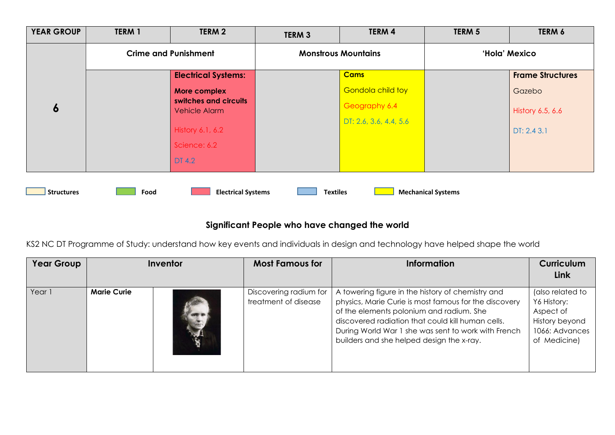| <b>YEAR GROUP</b> | <b>TERM 1</b>               | TERM 2                                                 | <b>TERM 3</b>              | TERM 4                   | TERM 5                    | TERM 6                  |
|-------------------|-----------------------------|--------------------------------------------------------|----------------------------|--------------------------|---------------------------|-------------------------|
|                   | <b>Crime and Punishment</b> |                                                        | <b>Monstrous Mountains</b> |                          | 'Hola' Mexico             |                         |
| $\boldsymbol{6}$  |                             | <b>Electrical Systems:</b>                             |                            | <b>Cams</b>              |                           | <b>Frame Structures</b> |
|                   |                             | More complex<br>switches and circuits<br>Vehicle Alarm |                            | <b>Gondola child toy</b> |                           | Gazebo                  |
|                   |                             |                                                        |                            | Geography 6.4            |                           | History 6.5, 6.6        |
|                   |                             | History 6.1, 6.2                                       |                            | DT: 2.6, 3.6, 4.4, 5.6   |                           | DT: 2.4 3.1             |
|                   |                             | Science: 6.2                                           |                            |                          |                           |                         |
|                   |                             | DT 4.2                                                 |                            |                          |                           |                         |
|                   |                             |                                                        |                            |                          |                           |                         |
| <b>Structures</b> | Food                        | <b>Electrical Systems</b>                              | <b>Textiles</b>            |                          | <b>Mechanical Systems</b> |                         |

## **Significant People who have changed the world**

KS2 NC DT Programme of Study: understand how key events and individuals in design and technology have helped shape the world

| <b>Year Group</b> | Inventor           |  | <b>Most Famous for</b>                         | <b>Information</b>                                                                                                                                                                                                                                                                                              | <b>Curriculum</b><br>Link                                                                        |
|-------------------|--------------------|--|------------------------------------------------|-----------------------------------------------------------------------------------------------------------------------------------------------------------------------------------------------------------------------------------------------------------------------------------------------------------------|--------------------------------------------------------------------------------------------------|
|                   |                    |  |                                                |                                                                                                                                                                                                                                                                                                                 |                                                                                                  |
| Year 1            | <b>Marie Curie</b> |  | Discovering radium for<br>treatment of disease | A towering figure in the history of chemistry and<br>physics, Marie Curie is most famous for the discovery<br>of the elements polonium and radium. She<br>discovered radiation that could kill human cells.<br>During World War 1 she was sent to work with French<br>builders and she helped design the x-ray. | (also related to<br>Y6 History:<br>Aspect of<br>History beyond<br>1066: Advances<br>of Medicine) |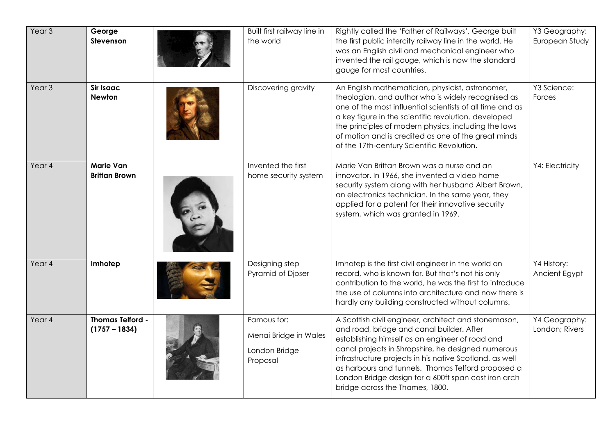| Year <sub>3</sub> | George<br>Stevenson                        | Built first railway line in<br>the world                          | Rightly called the 'Father of Railways', George built<br>the first public intercity railway line in the world. He<br>was an English civil and mechanical engineer who<br>invented the rail gauge, which is now the standard<br>gauge for most countries.                                                                                                                                                               | Y3 Geography:<br>European Study |
|-------------------|--------------------------------------------|-------------------------------------------------------------------|------------------------------------------------------------------------------------------------------------------------------------------------------------------------------------------------------------------------------------------------------------------------------------------------------------------------------------------------------------------------------------------------------------------------|---------------------------------|
| Year <sub>3</sub> | <b>Sir Isaac</b><br><b>Newton</b>          | Discovering gravity                                               | An English mathematician, physicist, astronomer,<br>theologian, and author who is widely recognised as<br>one of the most influential scientists of all time and as<br>a key figure in the scientific revolution. developed<br>the principles of modern physics, including the laws<br>of motion and is credited as one of the great minds<br>of the 17th-century Scientific Revolution.                               | Y3 Science:<br>Forces           |
| Year 4            | <b>Marie Van</b><br><b>Brittan Brown</b>   | Invented the first<br>home security system                        | Marie Van Brittan Brown was a nurse and an<br>innovator. In 1966, she invented a video home<br>security system along with her husband Albert Brown,<br>an electronics technician. In the same year, they<br>applied for a patent for their innovative security<br>system, which was granted in 1969.                                                                                                                   | Y4: Electricity                 |
| Year 4            | Imhotep                                    | Designing step<br>Pyramid of Djoser                               | Imhotep is the first civil engineer in the world on<br>record, who is known for. But that's not his only<br>contribution to the world, he was the first to introduce<br>the use of columns into architecture and now there is<br>hardly any building constructed without columns.                                                                                                                                      | Y4 History:<br>Ancient Egypt    |
| Year 4            | <b>Thomas Telford -</b><br>$(1757 - 1834)$ | Famous for:<br>Menai Bridge in Wales<br>London Bridge<br>Proposal | A Scottish civil engineer, architect and stonemason,<br>and road, bridge and canal builder. After<br>establishing himself as an engineer of road and<br>canal projects in Shropshire, he designed numerous<br>infrastructure projects in his native Scotland, as well<br>as harbours and tunnels. Thomas Telford proposed a<br>London Bridge design for a 600ft span cast iron arch<br>bridge across the Thames, 1800. | Y4 Geography:<br>London; Rivers |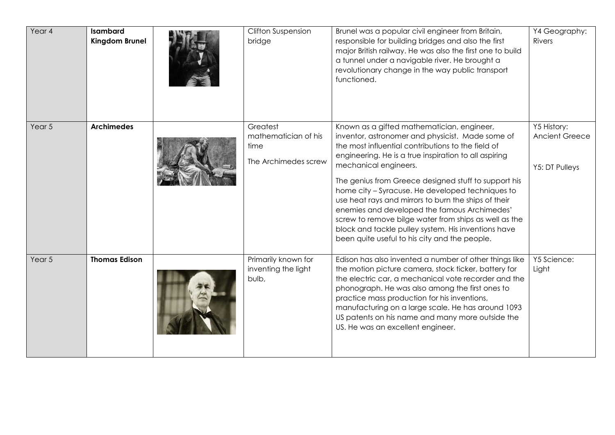| Year 4 | <b>Isambard</b><br>Kingdom Brunel | <b>Clifton Suspension</b><br>bridge                              | Brunel was a popular civil engineer from Britain,<br>responsible for building bridges and also the first<br>major British railway. He was also the first one to build<br>a tunnel under a navigable river. He brought a<br>revolutionary change in the way public transport<br>functioned.                                                                                                                                                                                                                                                                                                                                  | Y4 Geography:<br><b>Rivers</b>                  |
|--------|-----------------------------------|------------------------------------------------------------------|-----------------------------------------------------------------------------------------------------------------------------------------------------------------------------------------------------------------------------------------------------------------------------------------------------------------------------------------------------------------------------------------------------------------------------------------------------------------------------------------------------------------------------------------------------------------------------------------------------------------------------|-------------------------------------------------|
| Year 5 | <b>Archimedes</b>                 | Greatest<br>mathematician of his<br>time<br>The Archimedes screw | Known as a gifted mathematician, engineer,<br>inventor, astronomer and physicist. Made some of<br>the most influential contributions to the field of<br>engineering. He is a true inspiration to all aspiring<br>mechanical engineers.<br>The genius from Greece designed stuff to support his<br>home city - Syracuse. He developed techniques to<br>use heat rays and mirrors to burn the ships of their<br>enemies and developed the famous Archimedes'<br>screw to remove bilge water from ships as well as the<br>block and tackle pulley system. His inventions have<br>been quite useful to his city and the people. | Y5 History:<br>Ancient Greece<br>Y5: DT Pulleys |
| Year 5 | <b>Thomas Edison</b>              | Primarily known for<br>inventing the light<br>bulb,              | Edison has also invented a number of other things like<br>the motion picture camera, stock ticker, battery for<br>the electric car, a mechanical vote recorder and the<br>phonograph. He was also among the first ones to<br>practice mass production for his inventions,<br>manufacturing on a large scale. He has around 1093<br>US patents on his name and many more outside the<br>US. He was an excellent engineer.                                                                                                                                                                                                    | Y5 Science:<br>Light                            |